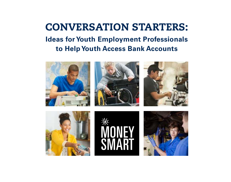# CONVERSATION STARTERS: **Ideas for Youth Employment Professionals to Help Youth Access Bank Accounts**







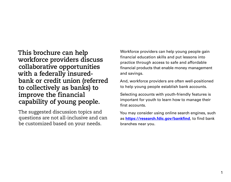**This brochure can help workforce providers discuss collaborative opportunities with a federally insuredbank or credit union (referred to collectively as banks) to improve the financial capability of young people.** 

The suggested discussion topics and questions are not all-inclusive and can be customized based on your needs.

Workforce providers can help young people gain financial education skills and put lessons into practice through access to safe and affordable financial products that enable money management and savings.

And, workforce providers are often well-positioned to help young people establish bank accounts.

Selecting accounts with youth-friendly features is important for youth to learn how to manage their first accounts.

You may consider using online search engines, such as **<https://research.fdic.gov/bankfind>**, to find bank branches near you.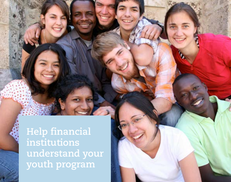**Help financial institutions understand your youth program**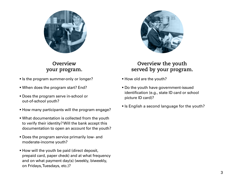

# **Overview your program.**

- § Is the program summer-only or longer?
- § When does the program start? End?
- § Does the program serve in-school or out-of-school youth?
- § How many participants will the program engage?
- § What documentation is collected from the youth to verify their identity? Will the bank accept this documentation to open an account for the youth?
- § Does the program service primarily low- and moderate-income youth?
- § How will the youth be paid (direct deposit, prepaid card, paper check) and at what frequency and on what payment day(s) (weekly, biweekly, on Fridays, Tuesdays, etc.)?



# **Overview the youth served by your program.**

- § How old are the youth?
- § Do the youth have government-issued identification (e.g., state ID card or school picture ID card)?
- Is English a second language for the youth?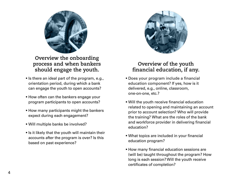

**Overview the onboarding process and when bankers should engage the youth.** 

- Is there an ideal part of the program, e.g., orientation period, during which a bank can engage the youth to open accounts?
- § How often can the bankers engage your program participants to open accounts?
- § How many participants might the bankers expect during each engagement?
- § Will multiple banks be involved?
- Is it likely that the youth will maintain their accounts after the program is over? Is this based on past experience?



### **Overview of the youth financial education, if any.**

- § Does your program include a financial education component? If yes, how is it delivered, e.g., online, classroom, one-on-one, etc.?
- § Will the youth receive financial education related to opening and maintaining an account prior to account selection? Who will provide the training? What are the roles of the bank and workforce provider in delivering financial education?
- § What topics are included in your financial education program?
- § How many financial education sessions are (will be) taught throughout the program? How long is each session? Will the youth receive certificates of completion?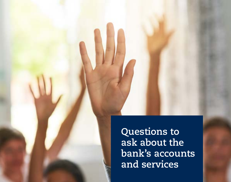**Questions to ask about the bank's accounts and services**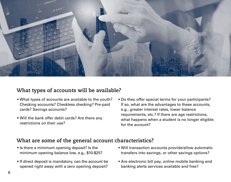

#### **What types of accounts will be available?**

- What types of accounts are available to the youth? Do they offer special terms for your participants? Checking accounts? Checkless checking? Pre-paid If so, what are the advantages to these accounts, cards? Savings accounts? e.g., greater interest rates, lower balance
- 
- Will the bank offer debit cards? Are there any equirements, etc.? If there are age restrictions,<br>
restrictions on their use? for the account? for the account?

# **What are some of the general account characteristics?**

- 
- opened right away with a zero opening deposit? banking alerts services available and free?
- Is there a minimum opening deposit? Is the  **Will transaction accounts provide/allow automatic** minimum opening balance low, e.g., \$10-\$25? transfers into savings, or other savings options?
- If direct deposit is mandatory, can the account be Are electronic bill pay, online mobile banking and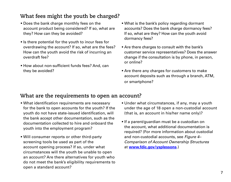# **What fees might the youth be charged?**

- § Does the bank charge monthly fees on the account product being considered? If so, what are they? How can they be avoided?
- § Is there potential for the youth to incur fees for overdrawing the account? If so, what are the fees? How can the youth avoid the risk of incurring an overdraft fee?
- How about non-sufficient funds fees? And, can they be avoided?
- What is the bank's policy regarding dormant accounts? Does the bank charge dormancy fees? If so, what are they? How can the youth avoid dormancy fees?
- § Are there charges to consult with the bank's customer service representatives? Does the answer change if the consultation is by phone, in person, or online?
- § Are there any charges for customers to make account deposits such as through a branch, ATM, or smartphone?

### **What are the requirements to open an account?**

- § What identification requirements are necessary for the bank to open accounts for the youth? If the youth do not have state-issued identification, will the bank accept other documentation, such as the documentation collected to hire and onboard the youth into the employment program?
- § Will consumer reports or other third-party screening tools be used as part of the account opening process? If so, under what circumstances will the youth be unable to open an account? Are there alternatives for youth who do not meet the bank's eligibility requirements to open a standard account?
- Under what circumstances, if any, may a youth under the age of 18 open a non-custodial account (that is, an account in his/her name only)?
- *Comparison of Account Ownership Structures* § If a parent/guardian must be a custodian on the account, what additional documentation is required? (For more information about custodial and non-custodial accounts, see *Figure 4–*  at **[www.fdic.gov/ysplessons](http://www.fdic.gov/ysplessons)**.)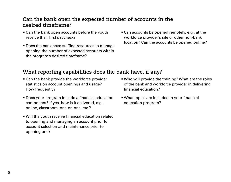# **Can the bank open the expected number of accounts in the desired timeframe?**

- Can the bank open accounts before the youth receive their first paycheck? workforce provider's site or other non-bank
- opening the number of expected accounts within the program's desired timeframe?
- Can accounts be opened remotely, e.g., at the ■ Does the bank have staffing resources to manage location? Can the accounts be opened online?

# **What reporting capabilities does the bank have, if any?**

- Can the bank provide the workforce provider statistics on account openings and usage? How frequently?
- § Does your program include a financial education component? If yes, how is it delivered, e.g., online, classroom, one-on-one, etc.?
- § Will the youth receive financial education related to opening and managing an account prior to account selection and maintenance prior to opening one?
- § Who will provide the training? What are the roles of the bank and workforce provider in delivering financial education?
- § What topics are included in your financial education program?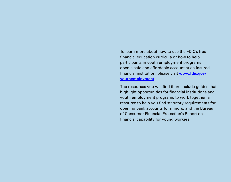To learn more about how to use the FDIC's free financial education curricula or how to help participants in youth employment programs open a safe and affordable account at an insured financial institution, please visit **[www.fdic.gov/](http://www.fdic.gov/youthemployment) [youthemployment](http://www.fdic.gov/youthemployment)**.

The resources you will find there include guides that highlight opportunities for financial institutions and youth employment programs to work together, a resource to help you find statutory requirements for opening bank accounts for minors, and the Bureau of Consumer Financial Protection's Report on financial capability for young workers.